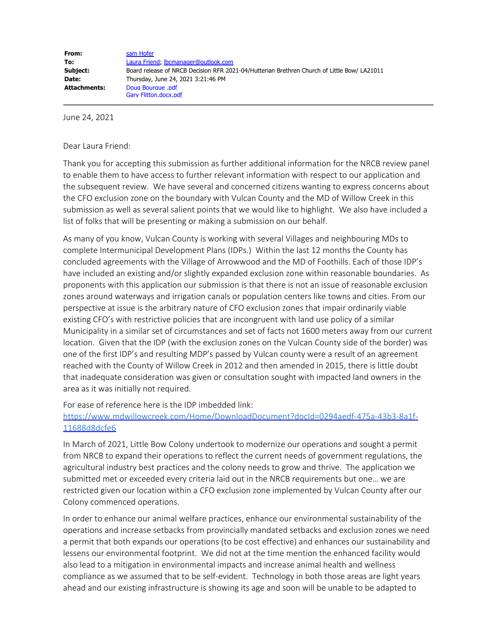June 24, 2021

Dear Laura Friend:

Thank you for accepting this submission as further additional information for the NRCB review panel to enable them to have access to further relevant information with respect to our application and the subsequent review. We have several and concerned citizens wanting to express concerns about the CFO exclusion zone on the boundary with Vulcan County and the MD of Willow Creek in this submission as well as several salient points that we would like to highlight. We also have included a list of folks that will be presenting or making a submission on our behalf.

As many of you know, Vulcan County is working with several Villages and neighbouring MDs to complete Intermunicipal Development Plans (IDPs.) Within the last 12 months the County has concluded agreements with the Village of Arrowwood and the MD of Foothills. Each of those IDP's have included an existing and/or slightly expanded exclusion zone within reasonable boundaries. As proponents with this application our submission is that there is not an issue of reasonable exclusion zones around waterways and irrigation canals or population centers like towns and cities. From our perspective at issue is the arbitrary nature of CFO exclusion zones that impair ordinarily viable existing CFO's with restrictive policies that are incongruent with land use policy of a similar Municipality in a similar set of circumstances and set of facts not 1600 meters away from our current location. Given that the IDP (with the exclusion zones on the Vulcan County side of the border) was one of the first IDP's and resulting MDP's passed by Vulcan county were a result of an agreement reached with the County of Willow Creek in 2012 and then amended in 2015, there is little doubt that inadequate consideration was given or consultation sought with impacted land owners in the area as it was initially not required.

For ease of reference here is the IDP imbedded link:

[https://www.mdwillowcreek.com/Home/DownloadDocument?docId=0294aedf-475a-43b3-8a1f-](https://www.mdwillowcreek.com/Home/DownloadDocument?docId=0294aedf-475a-43b3-8a1f-11688d8dcfe6)[11688d8dcfe6](https://www.mdwillowcreek.com/Home/DownloadDocument?docId=0294aedf-475a-43b3-8a1f-11688d8dcfe6)

In March of 2021, Little Bow Colony undertook to modernize our operations and sought a permit from NRCB to expand their operations to reflect the current needs of government regulations, the agricultural industry best practices and the colony needs to grow and thrive. The application we submitted met or exceeded every criteria laid out in the NRCB requirements but one… we are restricted given our location within a CFO exclusion zone implemented by Vulcan County after our Colony commenced operations.

In order to enhance our animal welfare practices, enhance our environmental sustainability of the operations and increase setbacks from provincially mandated setbacks and exclusion zones we need a permit that both expands our operations (to be cost effective) and enhances our sustainability and lessens our environmental footprint. We did not at the time mention the enhanced facility would also lead to a mitigation in environmental impacts and increase animal health and wellness compliance as we assumed that to be self-evident. Technology in both those areas are light years ahead and our existing infrastructure is showing its age and soon will be unable to be adapted to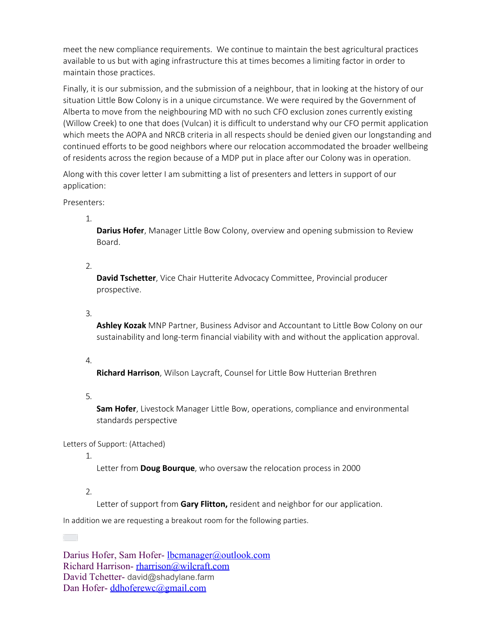meet the new compliance requirements. We continue to maintain the best agricultural practices available to us but with aging infrastructure this at times becomes a limiting factor in order to maintain those practices.

Finally, it is our submission, and the submission of a neighbour, that in looking at the history of our situation Little Bow Colony is in a unique circumstance. We were required by the Government of Alberta to move from the neighbouring MD with no such CFO exclusion zones currently existing (Willow Creek) to one that does (Vulcan) it is difficult to understand why our CFO permit application which meets the AOPA and NRCB criteria in all respects should be denied given our longstanding and continued efforts to be good neighbors where our relocation accommodated the broader wellbeing of residents across the region because of a MDP put in place after our Colony was in operation.

Along with this cover letter I am submitting a list of presenters and letters in support of our application:

Presenters:

1.

**Darius Hofer**, Manager Little Bow Colony, overview and opening submission to Review Board.

2.

**David Tschetter**, Vice Chair Hutterite Advocacy Committee, Provincial producer prospective.

3.

**Ashley Kozak** MNP Partner, Business Advisor and Accountant to Little Bow Colony on our sustainability and long-term financial viability with and without the application approval.

4.

**Richard Harrison**, Wilson Laycraft, Counsel for Little Bow Hutterian Brethren

5.

**Sam Hofer**, Livestock Manager Little Bow, operations, compliance and environmental standards perspective

Letters of Support: (Attached)

1.

Letter from **Doug Bourque**, who oversaw the relocation process in 2000

2.

Letter of support from **Gary Flitton,** resident and neighbor for our application.

In addition we are requesting a breakout room for the following parties.

Darius Hofer, Sam Hofer- <u>Ibcmanager@outlook.com</u> Richard Harrison- [rharrison@wilcraft.com](mailto:rharrison@wilcraft.com) David Tchetter- david@shadylane.farm Dan Hofer-[ddhoferewc@gmail.com](mailto:ddhoferewc@gmail.com)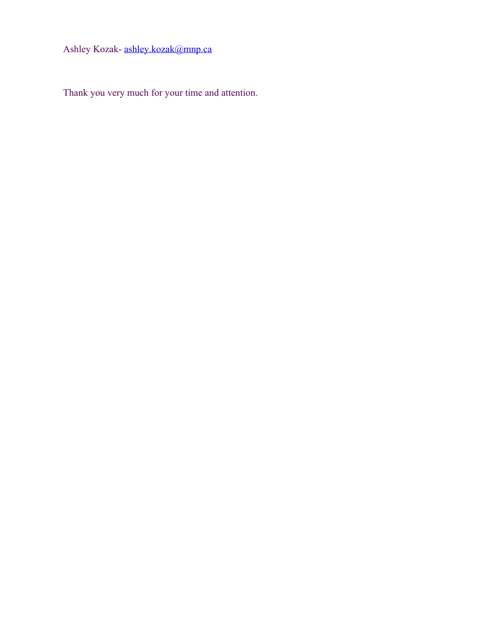Ashley Kozak- [ashley.kozak@mnp.ca](mailto:ashley.kozak@mnp.ca)

Thank you very much for your time and attention.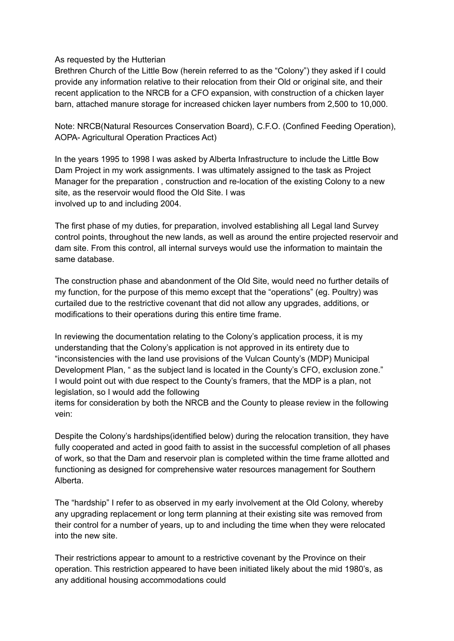## As requested by the Hutterian

Brethren Church of the Little Bow (herein referred to as the "Colony") they asked if I could provide any information relative to their relocation from their Old or original site, and their recent application to the NRCB for a CFO expansion, with construction of a chicken layer barn, attached manure storage for increased chicken layer numbers from 2,500 to 10,000.

Note: NRCB(Natural Resources Conservation Board), C.F.O. (Confined Feeding Operation), AOPA- Agricultural Operation Practices Act)

In the years 1995 to 1998 I was asked by Alberta Infrastructure to include the Little Bow Dam Project in my work assignments. I was ultimately assigned to the task as Project Manager for the preparation , construction and re-location of the existing Colony to a new site, as the reservoir would flood the Old Site. I was involved up to and including 2004.

The first phase of my duties, for preparation, involved establishing all Legal land Survey control points, throughout the new lands, as well as around the entire projected reservoir and dam site. From this control, all internal surveys would use the information to maintain the same database.

The construction phase and abandonment of the Old Site, would need no further details of my function, for the purpose of this memo except that the "operations" (eg. Poultry) was curtailed due to the restrictive covenant that did not allow any upgrades, additions, or modifications to their operations during this entire time frame.

In reviewing the documentation relating to the Colony's application process, it is my understanding that the Colony's application is not approved in its entirety due to "inconsistencies with the land use provisions of the Vulcan County's (MDP) Municipal Development Plan, " as the subject land is located in the County's CFO, exclusion zone." I would point out with due respect to the County's framers, that the MDP is a plan, not legislation, so I would add the following

items for consideration by both the NRCB and the County to please review in the following vein:

Despite the Colony's hardships(identified below) during the relocation transition, they have fully cooperated and acted in good faith to assist in the successful completion of all phases of work, so that the Dam and reservoir plan is completed within the time frame allotted and functioning as designed for comprehensive water resources management for Southern Alberta.

The "hardship" I refer to as observed in my early involvement at the Old Colony, whereby any upgrading replacement or long term planning at their existing site was removed from their control for a number of years, up to and including the time when they were relocated into the new site.

Their restrictions appear to amount to a restrictive covenant by the Province on their operation. This restriction appeared to have been initiated likely about the mid 1980's, as any additional housing accommodations could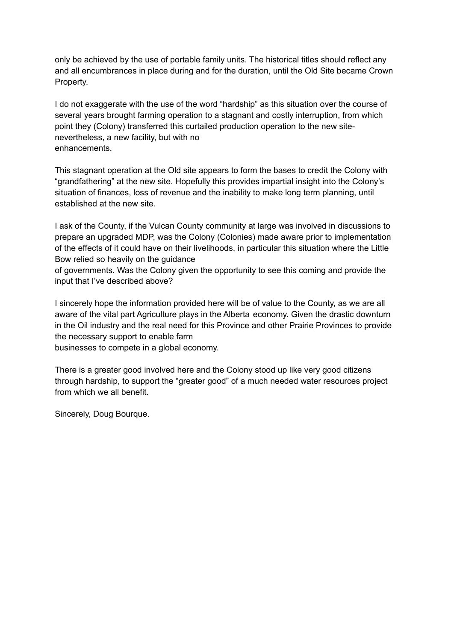only be achieved by the use of portable family units. The historical titles should reflect any and all encumbrances in place during and for the duration, until the Old Site became Crown Property.

I do not exaggerate with the use of the word "hardship" as this situation over the course of several years brought farming operation to a stagnant and costly interruption, from which point they (Colony) transferred this curtailed production operation to the new sitenevertheless, a new facility, but with no enhancements.

This stagnant operation at the Old site appears to form the bases to credit the Colony with "grandfathering" at the new site. Hopefully this provides impartial insight into the Colony's situation of finances, loss of revenue and the inability to make long term planning, until established at the new site.

I ask of the County, if the Vulcan County community at large was involved in discussions to prepare an upgraded MDP, was the Colony (Colonies) made aware prior to implementation of the effects of it could have on their livelihoods, in particular this situation where the Little Bow relied so heavily on the guidance

of governments. Was the Colony given the opportunity to see this coming and provide the input that I've described above?

I sincerely hope the information provided here will be of value to the County, as we are all aware of the vital part Agriculture plays in the Alberta economy. Given the drastic downturn in the Oil industry and the real need for this Province and other Prairie Provinces to provide the necessary support to enable farm businesses to compete in a global economy.

There is a greater good involved here and the Colony stood up like very good citizens through hardship, to support the "greater good" of a much needed water resources project

Sincerely, Doug Bourque.

from which we all benefit.